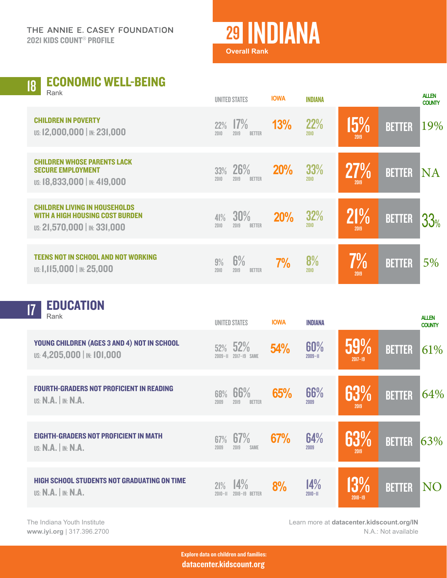THE ANNIE E. CASEY FOUNDATION 2021 KIDS COUNT® PROFILE

## <sup>29</sup> INDIANA

**Overall Rank**

## ECONOMIC WELL-BEING Rank 18

| $1$ value                                                                                               |             | <b>UNITED STATES</b>         | <b>IOWA</b> | <b>INDIANA</b>     |                |               | <b>ALLEN</b><br><b>COUNTY</b> |
|---------------------------------------------------------------------------------------------------------|-------------|------------------------------|-------------|--------------------|----------------|---------------|-------------------------------|
| <b>CHILDREN IN POVERTY</b><br>US: 12,000,000   IN: 231,000                                              | 22%<br>2010 | 17%<br>2019<br><b>BETTER</b> | 13%         | 22%<br>2010        | $15\%$<br>2019 | <b>BETTER</b> | 19%                           |
| <b>CHILDREN WHOSE PARENTS LACK</b><br><b>SECURE EMPLOYMENT</b><br>US: 18,833,000   IN: 419,000          | 33%<br>2010 | 26%<br>2019<br><b>BETTER</b> | <b>20%</b>  | <b>33%</b><br>2010 | 27%<br>2019    | <b>BETTER</b> | <b>NA</b>                     |
| <b>CHILDREN LIVING IN HOUSEHOLDS</b><br>WITH A HIGH HOUSING COST BURDEN<br>US: 21,570,000   IN: 331,000 | 41%<br>2010 | 30%<br>2019<br><b>BETTER</b> | <b>20%</b>  | 32%<br>2010        | 21%<br>2019    | <b>BETTER</b> | 33%                           |
| <b>TEENS NOT IN SCHOOL AND NOT WORKING</b><br>US: 1,115,000   IN: 25,000                                | 9%<br>2010  | 6%<br>2019<br><b>BETTER</b>  | 7%          | 8%<br>2010         | $7\%$<br>2019  | <b>BETTER</b> | 5%                            |

**T7 EDUCATION** 

| ш.<br>Rank                                                                      |                    | UNITED STATES                | <b>IOWA</b> | <b>INDIANA</b>     |                    |               | <b>ALLEN</b><br><b>COUNTY</b> |
|---------------------------------------------------------------------------------|--------------------|------------------------------|-------------|--------------------|--------------------|---------------|-------------------------------|
| YOUNG CHILDREN (AGES 3 AND 4) NOT IN SCHOOL<br>US: 4,205,000   IN: 101,000      | 52%<br>$2009 - 11$ | 52%<br>$2017 - 19$<br>SAME   | 54%         | 60%<br>$2009 - H$  | 59%<br>$2017 - 19$ | <b>BETTER</b> | 61%                           |
| <b>FOURTH-GRADERS NOT PROFICIENT IN READING</b><br>$US: N.A.$ $\mid$ in: $N.A.$ | 68%<br>2009        | 66%<br>2019<br><b>BETTER</b> | 65%         | 66%<br>2009        | 63%<br>2019        | <b>BETTER</b> | 64%                           |
| <b>EIGHTH-GRADERS NOT PROFICIENT IN MATH</b><br><b>US: N.A.</b>   IN: N.A.      | 67%<br>2009        | 67%<br>2019<br><b>SAME</b>   | 67%         | 64%<br>2009        | 63%<br>2019        | <b>BETTER</b> | 63%                           |
| <b>HIGH SCHOOL STUDENTS NOT GRADUATING ON TIME</b><br>US: $N.A.$ IN: $N.A.$     | 21%<br>$2010 - 11$ | 14%<br>$2018 - 19$<br>BETTER | 8%          | 14%<br>$2010 - 11$ | 13%<br>$2018 - 19$ | <b>BETTER</b> | <b>NO</b>                     |

The Indiana Youth Institute **[www.iyi.org](http://www.iyi.org)** | 317.396.2700 Learn more at **[datacenter.kidscount.org/](https://datacenter.kidscount.org/data#IN)IN** N.A.: Not available